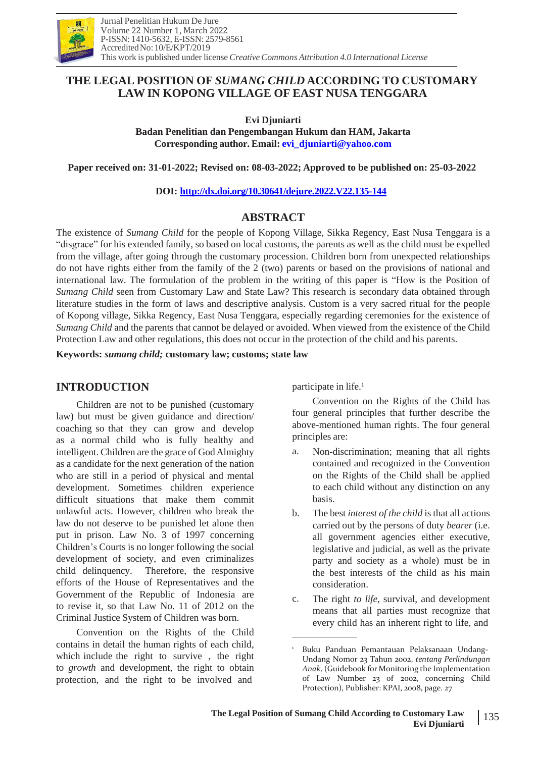

# **THE LEGAL POSITION OF** *SUMANG CHILD* **ACCORDING TO CUSTOMARY LAW IN KOPONG VILLAGE OF EAST NUSA TENGGARA**

**Evi Djuniarti**

**Badan Penelitian dan Pengembangan Hukum dan HAM, Jakarta Corresponding author. Email: [evi\\_djuniarti@yahoo.com](mailto:evi_djuniarti@yahoo.com)**

**Paper received on: 31-01-2022; Revised on: 08-03-2022; Approved to be published on: 25-03-2022**

### **DOI: <http://dx.doi.org/10.30641/dejure.2022.V22.135-144>**

# **ABSTRACT**

The existence of *Sumang Child* for the people of Kopong Village, Sikka Regency, East Nusa Tenggara is a "disgrace" for his extended family, so based on local customs, the parents as well as the child must be expelled from the village, after going through the customary procession. Children born from unexpected relationships do not have rights either from the family of the 2 (two) parents or based on the provisions of national and international law. The formulation of the problem in the writing of this paper is "How is the Position of *Sumang Child* seen from Customary Law and State Law? This research is secondary data obtained through literature studies in the form of laws and descriptive analysis. Custom is a very sacred ritual for the people of Kopong village, Sikka Regency, East Nusa Tenggara, especially regarding ceremonies for the existence of *Sumang Child* and the parents that cannot be delayed or avoided. When viewed from the existence of the Child Protection Law and other regulations, this does not occur in the protection of the child and his parents.

**Keywords:** *sumang child;* **customary law; customs; state law**

## **INTRODUCTION**

Children are not to be punished (customary law) but must be given guidance and direction/ coaching so that they can grow and develop as a normal child who is fully healthy and intelligent. Children are the grace of GodAlmighty as a candidate for the next generation of the nation who are still in a period of physical and mental development. Sometimes children experience difficult situations that make them commit unlawful acts. However, children who break the law do not deserve to be punished let alone then put in prison. Law No. 3 of 1997 concerning Children's Courts is no longer following the social development of society, and even criminalizes child delinquency. Therefore, the responsive efforts of the House of Representatives and the Government of the Republic of Indonesia are to revise it, so that Law No. 11 of 2012 on the Criminal Justice System of Children was born.

Convention on the Rights of the Child contains in detail the human rights of each child, which include the right to survive , the right to *growth* and development, the right to obtain protection, and the right to be involved and

participate in life.<sup>1</sup>

Convention on the Rights of the Child has four general principles that further describe the above-mentioned human rights. The four general principles are:

- a. Non-discrimination; meaning that all rights contained and recognized in the Convention on the Rights of the Child shall be applied to each child without any distinction on any basis.
- The best *interest of the child* is that all actions carried out by the persons of duty *bearer* (i.e. all government agencies either executive, legislative and judicial, as well as the private party and society as a whole) must be in the best interests of the child as his main consideration. b.
- The right *to life*, survival, and development means that all parties must recognize that every child has an inherent right to life, and c.

<sup>1</sup> Buku Panduan Pemantauan Pelaksanaan Undang-Undang Nomor 23 Tahun 2002, *tentang Perlindungan Anak,* (Guidebook for Monitoring the Implementation of Law Number 23 of 2002, concerning Child Protection), Publisher: KPAI, 2008, page. 27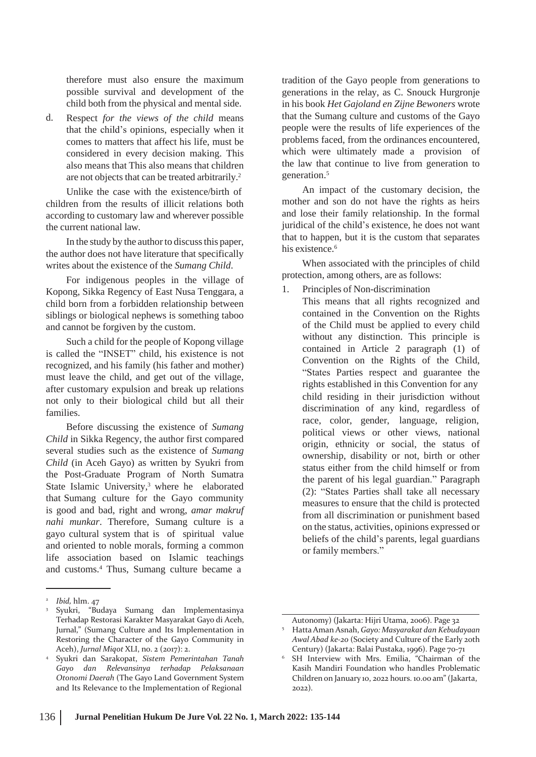therefore must also ensure the maximum possible survival and development of the child both from the physical and mental side.

Respect *for the views of the child* means that the child's opinions, especially when it comes to matters that affect his life, must be considered in every decision making. This also means that This also means that children are not objects that can be treated arbitrarily.<sup>2</sup> d.

Unlike the case with the existence/birth of children from the results of illicit relations both according to customary law and wherever possible the current national law.

In the study by the authorto discuss this paper, the author does not have literature that specifically writes about the existence of the *Sumang Child*.

For indigenous peoples in the village of Kopong, Sikka Regency of East Nusa Tenggara, a child born from a forbidden relationship between siblings or biological nephews is something taboo and cannot be forgiven by the custom.

Such a child for the people of Kopong village is called the "INSET" child, his existence is not recognized, and his family (his father and mother) must leave the child, and get out of the village, after customary expulsion and break up relations not only to their biological child but all their families.

Before discussing the existence of *Sumang Child* in Sikka Regency, the author first compared several studies such as the existence of *Sumang Child* (in Aceh Gayo) as written by Syukri from the Post-Graduate Program of North Sumatra State Islamic University,<sup>3</sup> where he elaborated that Sumang culture for the Gayo community is good and bad, right and wrong, *amar makruf nahi munkar*. Therefore, Sumang culture is a gayo cultural system that is of spiritual value and oriented to noble morals, forming a common life association based on Islamic teachings and customs.4 Thus, Sumang culture became a

tradition of the Gayo people from generations to generations in the relay, as C. Snouck Hurgronje in his book *Het Gajoland en Zijne Bewoners* wrote that the Sumang culture and customs of the Gayo people were the results of life experiences of the problems faced, from the ordinances encountered, which were ultimately made a provision of the law that continue to live from generation to generation.<sup>5</sup>

An impact of the customary decision, the mother and son do not have the rights as heirs and lose their family relationship. In the formal juridical of the child's existence, he does not want that to happen, but it is the custom that separates his existence.<sup>6</sup>

When associated with the principles of child protection, among others, are as follows:

- 1. Principles of Non-discrimination
	- This means that all rights recognized and contained in the Convention on the Rights of the Child must be applied to every child without any distinction. This principle is contained in Article 2 paragraph (1) of Convention on the Rights of the Child, "States Parties respect and guarantee the rights established in this Convention for any child residing in their jurisdiction without discrimination of any kind, regardless of race, color, gender, language, religion, political views or other views, national origin, ethnicity or social, the status of ownership, disability or not, birth or other status either from the child himself or from the parent of his legal guardian." Paragraph (2): "States Parties shall take all necessary measures to ensure that the child is protected from all discrimination or punishment based on the status, activities, opinions expressed or beliefs of the child's parents, legal guardians or family members."

<sup>2</sup> *Ibid,* hlm. 47

<sup>3</sup> Syukri, "Budaya Sumang dan Implementasinya Terhadap Restorasi Karakter Masyarakat Gayo di Aceh, Jurnal," (Sumang Culture and Its Implementation in Restoring the Character of the Gayo Community in Aceh), *Jurnal Miqot* XLI, no. 2 (2017): 2.

Syukri dan Sarakopat, *Sistem Pemerintahan Tanah* 4 6 *Gayo dan Relevansinya terhadap Pelaksanaan Otonomi Daerah* (The Gayo Land Government System and Its Relevance to the Implementation of Regional

Autonomy) (Jakarta: Hijri Utama, 2006). Page 32 HattaAmanAsnah, *Gayo: Masyarakat dan Kebudayaan Awal Abad ke-20* (Society and Culture of the Early 20th Century) (Jakarta: Balai Pustaka, 1996). Page 70-71 5

SH Interview with Mrs. Emilia, "Chairman of the Kasih Mandiri Foundation who handles Problematic Children on January 10, 2022 hours. 10.00 am"(Jakarta, 2022).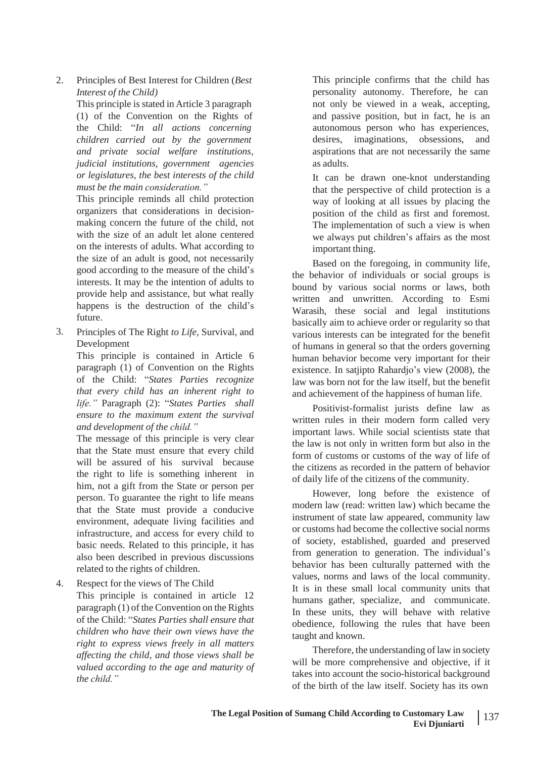2. Principles of Best Interest for Children (*Best Interest of the Child)*

This principle is stated in Article 3 paragraph (1) of the Convention on the Rights of the Child: "*In all actions concerning* autonomous person who has experiences, *children carried out by the government and private social welfare institutions,* the Child: "In all actions concerning *judicial institutions, government agencies or legislatures, the best interests of the child must be the main consideration."*

This principle reminds all child protection organizers that considerations in decisionmaking concern the future of the child, not with the size of an adult let alone centered on the interests of adults. What according to the size of an adult is good, not necessarily good according to the measure of the child's interests. It may be the intention of adults to provide help and assistance, but what really happens is the destruction of the child's future.

Principles of The Right *to Life,* Survival, and Development 3.

This principle is contained in Article 6 paragraph (1) of Convention on the Rights of the Child: "*States Parties recognize that every child has an inherent right to life."* Paragraph (2): "*States Parties shall ensure to the maximum extent the survival and development of the child."*

The message of this principle is very clear that the State must ensure that every child will be assured of his survival because the right to life is something inherent in him, not a gift from the State or person per person. To guarantee the right to life means that the State must provide a conducive environment, adequate living facilities and infrastructure, and access for every child to basic needs. Related to this principle, it has also been described in previous discussions related to the rights of children.

Respect for the views of The Child 4.

This principle is contained in article 12 paragraph (1) of the Convention on the Rights of the Child: "*States Parties shall ensure that children who have their own views have the right to express views freely in all matters affecting the child, and those views shall be valued according to the age and maturity of the child."*

This principle confirms that the child has personality autonomy. Therefore, he can not only be viewed in a weak, accepting, and passive position, but in fact, he is an desires, imaginations, obsessions, and aspirations that are not necessarily the same as adults.

It can be drawn one-knot understanding that the perspective of child protection is a way of looking at all issues by placing the position of the child as first and foremost. The implementation of such a view is when we always put children's affairs as the most important thing.

Based on the foregoing, in community life, the behavior of individuals or social groups is bound by various social norms or laws, both written and unwritten. According to Esmi Warasih, these social and legal institutions basically aim to achieve order or regularity so that various interests can be integrated for the benefit of humans in general so that the orders governing human behavior become very important for their existence. In satjipto Rahardjo's view (2008), the law was born not for the law itself, but the benefit and achievement of the happiness of human life.

Positivist-formalist jurists define law as written rules in their modern form called very important laws. While social scientists state that the law is not only in written form but also in the form of customs or customs of the way of life of the citizens as recorded in the pattern of behavior of daily life of the citizens of the community.

However, long before the existence of modern law (read: written law) which became the instrument of state law appeared, community law or customs had become the collective social norms of society, established, guarded and preserved from generation to generation. The individual's behavior has been culturally patterned with the values, norms and laws of the local community. It is in these small local community units that humans gather, specialize, and communicate. In these units, they will behave with relative obedience, following the rules that have been taught and known.

Therefore, the understanding of law in society will be more comprehensive and objective, if it takes into account the socio-historical background of the birth of the law itself. Society has its own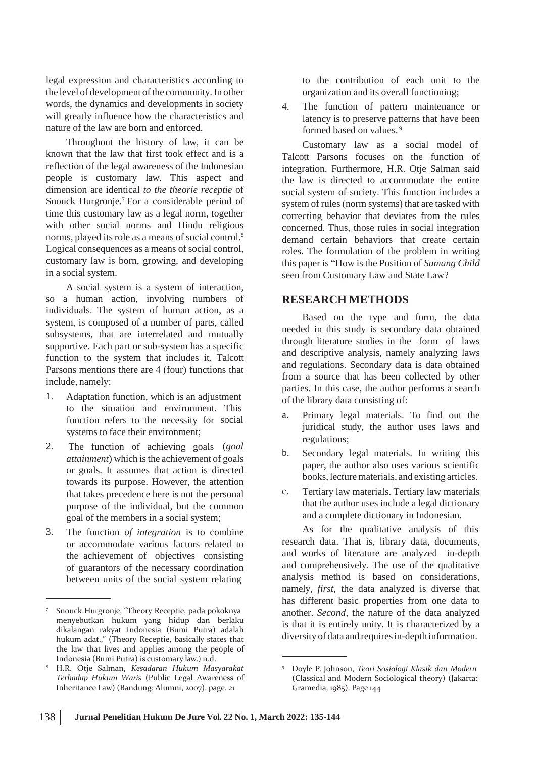legal expression and characteristics according to the level of development of the community. In other words, the dynamics and developments in society will greatly influence how the characteristics and nature of the law are born and enforced.

Throughout the history of law, it can be known that the law that first took effect and is a reflection of the legal awareness of the Indonesian people is customary law. This aspect and dimension are identical *to the theorie receptie* of Snouck Hurgronje.<sup>7</sup> For a considerable period of time this customary law as a legal norm, together with other social norms and Hindu religious norms, played its role as a means of social control.<sup>8</sup> Logical consequences as a means of social control, customary law is born, growing, and developing in a social system.

A social system is a system of interaction, so a human action, involving numbers of individuals. The system of human action, as a system, is composed of a number of parts, called subsystems, that are interrelated and mutually supportive. Each part or sub-system has a specific function to the system that includes it. Talcott Parsons mentions there are 4 (four) functions that include, namely:

- 1. Adaptation function, which is an adjustment of the library data consisting of: to the situation and environment. This function refers to the necessity for social systems to face their environment;
- The function of achieving goals (goal 2. The function of achieving goals (*goal* b. *attainment*) which is the achievement of goals b. or goals. It assumes that action is directed towards its purpose. However, the attention that takes precedence here is not the personal purpose of the individual, but the common goal of the members in a social system;
- The function *of integration* is to combine or accommodate various factors related to the achievement of objectives consisting of guarantors of the necessary coordination between units of the social system relating 3.

to the contribution of each unit to the organization and its overall functioning;

The function of pattern maintenance or latency is to preserve patterns that have been formed based on values. <sup>9</sup> 4.

Customary law as a social model of Talcott Parsons focuses on the function of integration. Furthermore, H.R. Otje Salman said the law is directed to accommodate the entire social system of society. This function includes a system of rules (norm systems) that are tasked with correcting behavior that deviates from the rules concerned. Thus, those rules in social integration demand certain behaviors that create certain roles. The formulation of the problem in writing this paper is "How is the Position of *Sumang Child* seen from Customary Law and State Law?

## **RESEARCH METHODS**

Based on the type and form, the data needed in this study is secondary data obtained through literature studies in the form of laws and descriptive analysis, namely analyzing laws and regulations. Secondary data is data obtained from a source that has been collected by other parties. In this case, the author performs a search

- a. Primary legal materials. To find out the juridical study, the author uses laws and regulations;
- Secondary legal materials. In writing this paper, the author also uses various scientific books, lecturematerials, and existing articles.
- Tertiary law materials. Tertiary law materials that the author uses include a legal dictionary and a complete dictionary in Indonesian. c.

As for the qualitative analysis of this research data. That is, library data, documents, and works of literature are analyzed in-depth and comprehensively. The use of the qualitative analysis method is based on considerations, namely, *first,* the data analyzed is diverse that has different basic properties from one data to another. *Second,* the nature of the data analyzed is that it is entirely unity. It is characterized by a diversity of data and requiresin-depth information.

<sup>7</sup> Snouck Hurgronje, "Theory Receptie, pada pokoknya menyebutkan hukum yang hidup dan berlaku dikalangan rakyat Indonesia (Bumi Putra) adalah hukum adat.," (Theory Receptie, basically states that the law that lives and applies among the people of Indonesia (Bumi Putra) is customary law.) n.d.

H.R. Otje Salman, *Kesadaran Hukum Masyarakat* <sup>8</sup> <sup>9</sup> Doyle P. Johnson, *Teori Sosiologi Klasik dan Modern Terhadap Hukum Waris* (Public Legal Awareness of Inheritance Law) (Bandung: Alumni, 2007). page. 21

<sup>(</sup>Classical and Modern Sociological theory) (Jakarta: Gramedia, 1985). Page 144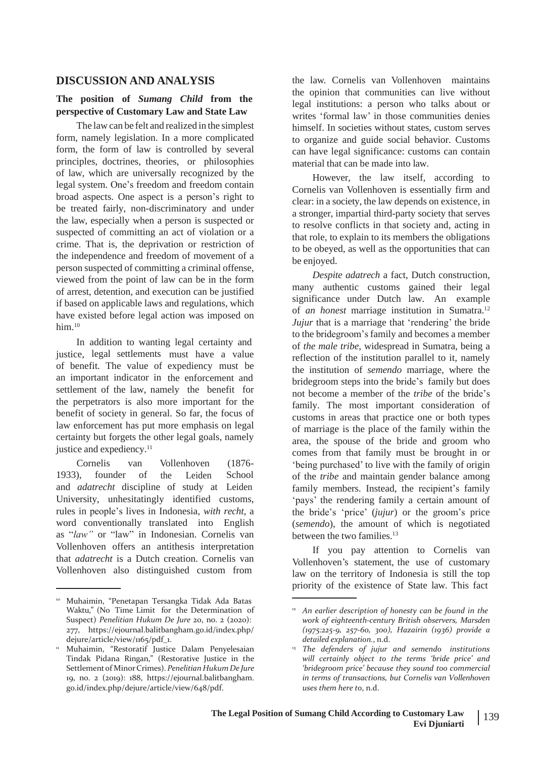### **DISCUSSION AND ANALYSIS**

### **The position of** *Sumang Child* **from the perspective of Customary Law and State Law**

The law can be felt and realized in the simplest form, namely legislation. In a more complicated form, the form of law is controlled by several principles, doctrines, theories, or philosophies of law, which are universally recognized by the legal system. One's freedom and freedom contain broad aspects. One aspect is a person's right to be treated fairly, non-discriminatory and under the law, especially when a person is suspected or suspected of committing an act of violation or a crime. That is, the deprivation or restriction of the independence and freedom of movement of a person suspected of committing a criminal offense, viewed from the point of law can be in the form of arrest, detention, and execution can be justified if based on applicable laws and regulations, which have existed before legal action was imposed on him.<sup>10</sup>

In addition to wanting legal certainty and justice, legal settlements must have a value of benefit. The value of expediency must be an important indicator in the enforcement and settlement of the law, namely the benefit for the perpetrators is also more important for the benefit of society in general. So far, the focus of law enforcement has put more emphasis on legal certainty but forgets the other legal goals, namely justice and expediency.<sup>11</sup>

Cornelis van of Vollenhoven the Leiden (1876- School and *adatrecht* discipline of study at Leiden 1933), founder University, unhesitatingly identified customs, rules in people's lives in Indonesia*, with recht,* a word conventionally translated into English as "*law"* or "law" in Indonesian. Cornelis van Vollenhoven offers an antithesis interpretation that *adatrecht* is a Dutch creation. Cornelis van Vollenhoven also distinguished custom from

the law. Cornelis van Vollenhoven maintains the opinion that communities can live without legal institutions: a person who talks about or writes 'formal law' in those communities denies himself. In societies without states, custom serves to organize and guide social behavior. Customs can have legal significance: customs can contain material that can be made into law.

However, the law itself, according to Cornelis van Vollenhoven is essentially firm and clear: in a society, the law depends on existence, in a stronger, impartial third-party society that serves to resolve conflicts in that society and, acting in that role, to explain to its members the obligations to be obeyed, as well as the opportunities that can be enjoyed.

*Despite adatrech* a fact, Dutch construction, many authentic customs gained their legal significance under Dutch law. An example of *an honest* marriage institution in Sumatra.<sup>12</sup> *Jujur* that is a marriage that 'rendering' the bride to the bridegroom'sfamily and becomes a member of *the male tribe*, widespread in Sumatra, being a reflection of the institution parallel to it, namely the institution of *semendo* marriage*,* where the bridegroom steps into the bride's family but does not become a member of the *tribe* of the bride's family. The most important consideration of customs in areas that practice one or both types of marriage is the place of the family within the area, the spouse of the bride and groom who comes from that family must be brought in or 'being purchased' to live with the family of origin of the *tribe* and maintain gender balance among family members. Instead, the recipient's family 'pays' the rendering family a certain amount of the bride's 'price' (*jujur*) or the groom's price (*semendo*), the amount of which is negotiated between the two families.<sup>13</sup>

If you pay attention to Cornelis van Vollenhoven's statement, the use of customary law on the territory of Indonesia is still the top priority of the existence of State law. This fact

<sup>10</sup> Muhaimin, "Penetapan Tersangka Tidak Ada Batas Waktu," (No Time Limit for the Determination of Suspect) *Penelitian Hukum De Jure* 20, no. 2 (2020): 277, https://ejournal.balitbangham.go.id/index.php/ dejure/article/view/1165/pdf\_1.

<sup>&</sup>lt;sup>11</sup> Muhaimin, "Restoratif Justice Dalam Penyelesaian Tindak Pidana Ringan," (Restorative Justice in the Settlementof MinorCrimes). *PenelitianHukum De Jure* 19, no. 2 (2019): 188, https://ejournal.balitbangham. go.id/index.php/dejure/article/view/648/pdf.

<sup>12</sup> *An earlier description of honesty can be found in the work of eighteenth-century British observers, Marsden (1975:225-9, 257-60, 300), Hazairin (1936) provide a detailed explanation.*, n.d.

*The defenders of jujur and semendo institutions will certainly object to the terms 'bride price' and 'bridegroom price' because they sound too commercial in terms of transactions, but Cornelis van Vollenhoven uses them here to*, n.d.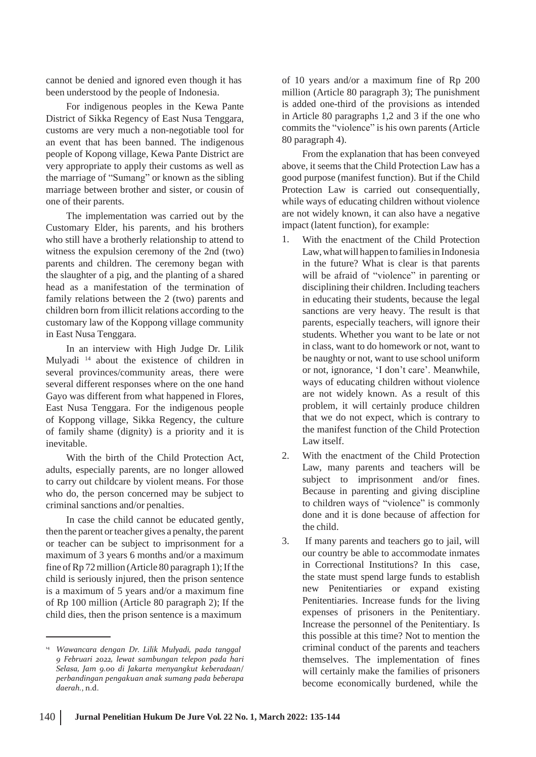cannot be denied and ignored even though it has been understood by the people of Indonesia.

For indigenous peoples in the Kewa Pante District of Sikka Regency of East Nusa Tenggara, customs are very much a non-negotiable tool for an event that has been banned. The indigenous people of Kopong village, Kewa Pante District are very appropriate to apply their customs as well as the marriage of "Sumang" or known as the sibling marriage between brother and sister, or cousin of one of their parents.

The implementation was carried out by the Customary Elder, his parents, and his brothers who still have a brotherly relationship to attend to witness the expulsion ceremony of the 2nd (two) parents and children. The ceremony began with the slaughter of a pig, and the planting of a shared head as a manifestation of the termination of family relations between the 2 (two) parents and children born from illicit relations according to the customary law of the Koppong village community in East Nusa Tenggara.

In an interview with High Judge Dr. Lilik Mulyadi <sup>14</sup> about the existence of children in several provinces/community areas, there were several different responses where on the one hand Gayo was different from what happened in Flores, East Nusa Tenggara. For the indigenous people of Koppong village, Sikka Regency, the culture of family shame (dignity) is a priority and it is inevitable.

With the birth of the Child Protection Act, adults, especially parents, are no longer allowed to carry out childcare by violent means. For those who do, the person concerned may be subject to criminal sanctions and/or penalties.

In case the child cannot be educated gently, then the parent or teacher gives a penalty, the parent or teacher can be subject to imprisonment for a maximum of 3 years 6 months and/or a maximum fine of  $Rp 72$  million (Article 80 paragraph 1); If the child is seriously injured, then the prison sentence is a maximum of 5 years and/or a maximum fine of Rp 100 million (Article 80 paragraph 2); If the child dies, then the prison sentence is a maximum

of 10 years and/or a maximum fine of Rp 200 million (Article 80 paragraph 3); The punishment is added one-third of the provisions as intended in Article 80 paragraphs 1,2 and 3 if the one who commits the "violence" is his own parents (Article 80 paragraph 4).

From the explanation that has been conveyed above, it seems that the Child Protection Law has a good purpose (manifest function). But if the Child Protection Law is carried out consequentially, while ways of educating children without violence are not widely known, it can also have a negative impact (latent function), for example:

- 1. With the enactment of the Child Protection Law, what will happen to families in Indonesia in the future? What is clear is that parents will be afraid of "violence" in parenting or disciplining their children. Including teachers in educating their students, because the legal sanctions are very heavy. The result is that parents, especially teachers, will ignore their students. Whether you want to be late or not in class, want to do homework or not, want to be naughty or not, want to use school uniform or not, ignorance, 'I don't care'. Meanwhile, ways of educating children without violence are not widely known. As a result of this problem, it will certainly produce children that we do not expect, which is contrary to the manifest function of the Child Protection Law itself.
- With the enactment of the Child Protection Law, many parents and teachers will be subject to imprisonment and/or fines. Because in parenting and giving discipline to children ways of "violence" is commonly done and it is done because of affection for the child. 2.
- If many parents and teachers go to jail, will our country be able to accommodate inmates in Correctional Institutions? In this case, the state must spend large funds to establish new Penitentiaries or expand existing Penitentiaries. Increase funds for the living expenses of prisoners in the Penitentiary. Increase the personnel of the Penitentiary. Is this possible at this time? Not to mention the criminal conduct of the parents and teachers themselves. The implementation of fines will certainly make the families of prisoners become economically burdened, while the 3.

<sup>14</sup> *Wawancara dengan Dr. Lilik Mulyadi, pada tanggal 9 Februari 2022, lewat sambungan telepon pada hari Selasa, Jam 9.00 di Jakarta menyangkut keberadaan/ perbandingan pengakuan anak sumang pada beberapa daerah.*, n.d.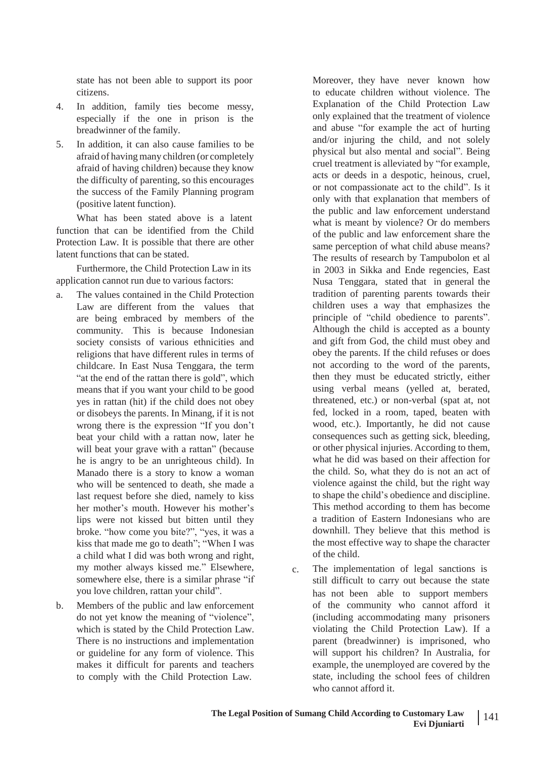state has not been able to support its poor citizens.

- 4. In addition, family ties become messy, especially if the one in prison is the breadwinner of the family.
- In addition, it can also cause families to be afraid of having many children (or completely afraid of having children) because they know the difficulty of parenting, so this encourages the success of the Family Planning program (positive latent function). 5.

What has been stated above is a latent function that can be identified from the Child Protection Law. It is possible that there are other latent functions that can be stated.

Furthermore, the Child Protection Law in its application cannot run due to various factors:

- a. The values contained in the Child Protection Law are different from the values that are being embraced by members of the community. This is because Indonesian society consists of various ethnicities and religions that have different rules in terms of childcare. In East Nusa Tenggara, the term "at the end of the rattan there is gold", which means that if you want your child to be good yes in rattan (hit) if the child does not obey or disobeys the parents. In Minang, if it is not wrong there is the expression "If you don't beat your child with a rattan now, later he will beat your grave with a rattan" (because he is angry to be an unrighteous child). In Manado there is a story to know a woman who will be sentenced to death, she made a last request before she died, namely to kiss her mother's mouth. However his mother's lips were not kissed but bitten until they broke. "how come you bite?", "yes, it was a kiss that made me go to death"; "When I was a child what I did was both wrong and right, my mother always kissed me." Elsewhere, somewhere else, there is a similar phrase "if you love children, rattan your child".
- Members of the public and law enforcement do not yet know the meaning of "violence", which is stated by the Child Protection Law. There is no instructions and implementation or guideline for any form of violence. This makes it difficult for parents and teachers to comply with the Child Protection Law. b.

Moreover, they have never known how to educate children without violence. The Explanation of the Child Protection Law only explained that the treatment of violence and abuse "for example the act of hurting and/or injuring the child, and not solely physical but also mental and social". Being cruel treatment is alleviated by "for example, acts or deeds in a despotic, heinous, cruel, or not compassionate act to the child". Is it only with that explanation that members of the public and law enforcement understand what is meant by violence? Or do members of the public and law enforcement share the same perception of what child abuse means? The results of research by Tampubolon et al in 2003 in Sikka and Ende regencies, East Nusa Tenggara, stated that in general the tradition of parenting parents towards their children uses a way that emphasizes the principle of "child obedience to parents". Although the child is accepted as a bounty and gift from God, the child must obey and obey the parents. If the child refuses or does not according to the word of the parents, then they must be educated strictly, either using verbal means (yelled at, berated, threatened, etc.) or non-verbal (spat at, not fed, locked in a room, taped, beaten with wood, etc.). Importantly, he did not cause consequences such as getting sick, bleeding, or other physical injuries. According to them, what he did was based on their affection for the child. So, what they do is not an act of violence against the child, but the right way to shape the child's obedience and discipline. This method according to them has become a tradition of Eastern Indonesians who are downhill. They believe that this method is the most effective way to shape the character of the child.

The implementation of legal sanctions is still difficult to carry out because the state c. has not been able to support members of the community who cannot afford it (including accommodating many prisoners violating the Child Protection Law). If a parent (breadwinner) is imprisoned, who will support his children? In Australia, for example, the unemployed are covered by the state, including the school fees of children who cannot afford it.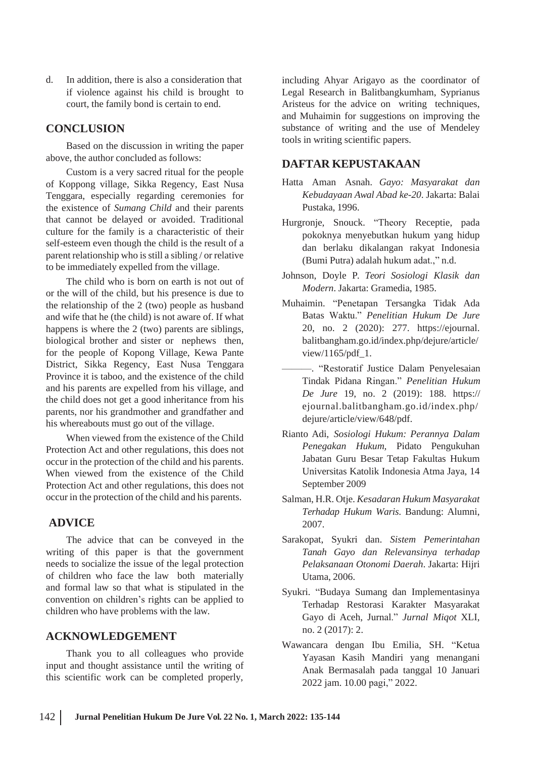d. In addition, there is also a consideration that including Ahyar Arigayo as the coordinator of if violence against his child is brought to court, the family bond is certain to end.

### **CONCLUSION**

Based on the discussion in writing the paper above, the author concluded as follows:

Custom is a very sacred ritual for the people of Koppong village, Sikka Regency, East Nusa Tenggara, especially regarding ceremonies for the existence of *Sumang Child* and their parents that cannot be delayed or avoided. Traditional culture for the family is a characteristic of their self-esteem even though the child is the result of a parent relationship who is still a sibling / or relative to be immediately expelled from the village.

The child who is born on earth is not out of or the will of the child, but his presence is due to the relationship of the 2 (two) people as husband and wife that he (the child) is not aware of. If what happens is where the 2 (two) parents are siblings, biological brother and sister or nephews then, for the people of Kopong Village, Kewa Pante District, Sikka Regency, East Nusa Tenggara Province it is taboo, and the existence of the child and his parents are expelled from his village, and the child does not get a good inheritance from his parents, nor his grandmother and grandfather and his whereabouts must go out of the village.

When viewed from the existence of the Child Protection Act and other regulations, this does not occur in the protection of the child and his parents. When viewed from the existence of the Child Protection Act and other regulations, this does not occur in the protection of the child and his parents.

### **ADVICE**

The advice that can be conveyed in the writing of this paper is that the government needs to socialize the issue of the legal protection of children who face the law both materially and formal law so that what is stipulated in the convention on children's rights can be applied to children who have problems with the law.

### **ACKNOWLEDGEMENT**

Thank you to all colleagues who provide input and thought assistance until the writing of this scientific work can be completed properly,

Legal Research in Balitbangkumham, Syprianus Aristeus for the advice on writing techniques, and Muhaimin for suggestions on improving the substance of writing and the use of Mendeley tools in writing scientific papers.

#### **DAFTAR KEPUSTAKAAN**

- Hatta Aman Asnah. *Gayo: Masyarakat dan Kebudayaan Awal Abad ke-20*. Jakarta: Balai Pustaka, 1996.
- Hurgronje, Snouck. "Theory Receptie, pada pokoknya menyebutkan hukum yang hidup dan berlaku dikalangan rakyat Indonesia (Bumi Putra) adalah hukum adat.," n.d.
- Johnson, Doyle P. *Teori Sosiologi Klasik dan Modern*. Jakarta: Gramedia, 1985.
- Muhaimin. "Penetapan Tersangka Tidak Ada Batas Waktu." *Penelitian Hukum De Jure* 20, no. 2 (2020): 277. https://ejournal. balitbangham.go.id/index.php/dejure/article/ view/1165/pdf\_1.
- ———. "Restoratif Justice Dalam Penyelesaian Tindak Pidana Ringan." *Penelitian Hukum De Jure* 19, no. 2 (2019): 188. https:// ejournal.balitbangham.go.id/index.php/ dejure/article/view/648/pdf.
- Rianto Adi, *Sosiologi Hukum: Perannya Dalam Penegakan Hukum,* Pidato Pengukuhan Jabatan Guru Besar Tetap Fakultas Hukum Universitas Katolik Indonesia Atma Jaya, 14 September 2009
- Salman, H.R. Otje. *Kesadaran Hukum Masyarakat Terhadap Hukum Waris*. Bandung: Alumni, 2007.
- Sarakopat, Syukri dan. *Sistem Pemerintahan Tanah Gayo dan Relevansinya terhadap Pelaksanaan Otonomi Daerah*. Jakarta: Hijri Utama, 2006.
- Syukri. "Budaya Sumang dan Implementasinya Terhadap Restorasi Karakter Masyarakat Gayo di Aceh, Jurnal." *Jurnal Miqot* XLI, no. 2 (2017): 2.
- Wawancara dengan Ibu Emilia, SH. "Ketua Yayasan Kasih Mandiri yang menangani Anak Bermasalah pada tanggal 10 Januari 2022 jam. 10.00 pagi," 2022.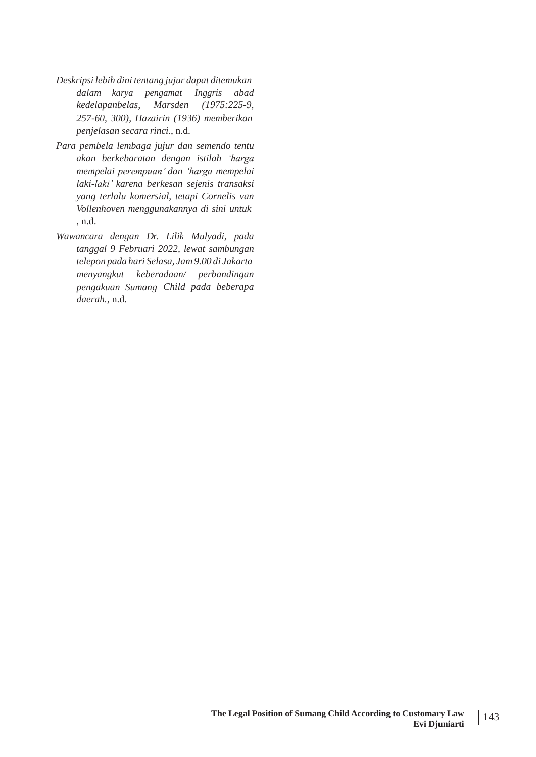- *Deskripsi lebih dini tentang jujur dapat ditemukan dalam karya pengamat Inggris abad kedelapanbelas, Marsden (1975:225-9, 257-60, 300), Hazairin (1936) memberikan penjelasan secara rinci.*, n.d.
- *Para pembela lembaga jujur dan semendo tentu akan berkebaratan dengan istilah 'harga mempelai perempuan' dan 'harga mempelai laki-laki' karena berkesan sejenis transaksi yang terlalu komersial, tetapi Cornelis van Vollenhoven menggunakannya di sini untuk* , n.d.
- *Wawancara dengan Dr. Lilik Mulyadi, pada tanggal 9 Februari 2022, lewat sambungan telepon pada hari Selasa, Jam 9.00 di Jakarta menyangkut keberadaan/ perbandingan pengakuan Sumang Child pada beberapa daerah.*, n.d.